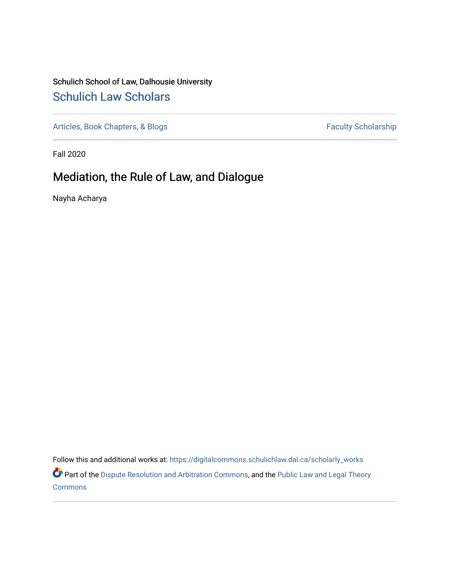# Schulich School of Law, Dalhousie University [Schulich Law Scholars](https://digitalcommons.schulichlaw.dal.ca/)

[Articles, Book Chapters, & Blogs](https://digitalcommons.schulichlaw.dal.ca/scholarly_works) Faculty Scholarship

Fall 2020

# Mediation, the Rule of Law, and Dialogue

Nayha Acharya

Follow this and additional works at: [https://digitalcommons.schulichlaw.dal.ca/scholarly\\_works](https://digitalcommons.schulichlaw.dal.ca/scholarly_works?utm_source=digitalcommons.schulichlaw.dal.ca%2Fscholarly_works%2F533&utm_medium=PDF&utm_campaign=PDFCoverPages) 

Part of the [Dispute Resolution and Arbitration Commons,](http://network.bepress.com/hgg/discipline/890?utm_source=digitalcommons.schulichlaw.dal.ca%2Fscholarly_works%2F533&utm_medium=PDF&utm_campaign=PDFCoverPages) and the [Public Law and Legal Theory](http://network.bepress.com/hgg/discipline/871?utm_source=digitalcommons.schulichlaw.dal.ca%2Fscholarly_works%2F533&utm_medium=PDF&utm_campaign=PDFCoverPages)  **[Commons](http://network.bepress.com/hgg/discipline/871?utm_source=digitalcommons.schulichlaw.dal.ca%2Fscholarly_works%2F533&utm_medium=PDF&utm_campaign=PDFCoverPages)**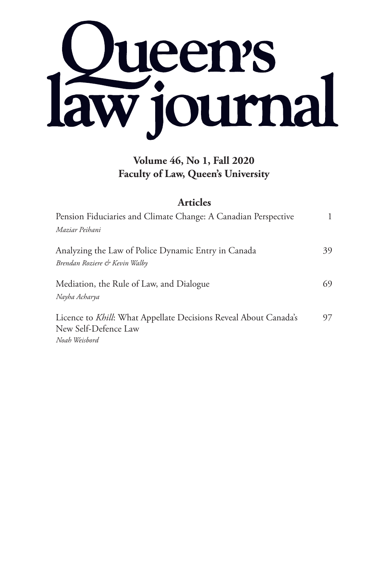

## **Volume 46, No 1, Fall 2020 Faculty of Law, Queen's University**

## **Articles**

| Pension Fiduciaries and Climate Change: A Canadian Perspective                                            |    |
|-----------------------------------------------------------------------------------------------------------|----|
| Maziar Peihani                                                                                            |    |
| Analyzing the Law of Police Dynamic Entry in Canada<br>Brendan Roziere & Kevin Walby                      | 39 |
| Mediation, the Rule of Law, and Dialogue<br>Nayha Acharya                                                 | 69 |
| Licence to Khill: What Appellate Decisions Reveal About Canada's<br>New Self-Defence Law<br>Noah Weisbord | 97 |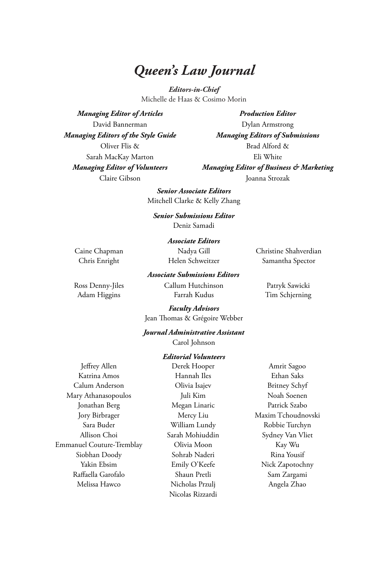## *Queen's Law Journal*

*Editors-in-Chief* Michelle de Haas & Cosimo Morin

*Managing Editor of Articles* David Bannerman *Managing Editors of the Style Guide* Oliver Flis & Sarah MacKay Marton *Managing Editor of Volunteers* Claire Gibson

*Production Editor* Dylan Armstrong *Managing Editors of Submissions* Brad Alford & Eli White *Managing Editor of Business & Marketing*  Joanna Strozak

*Senior Associate Editors* Mitchell Clarke & Kelly Zhang

*Senior Submissions Editor*

Deniz Samadi

#### *Associate Editors* Nadya Gill

Caine Chapman Chris Enright

Helen Schweitzer *Associate Submissions Editors*

Adam Higgins Farrah Kudus Tim Schjerning

Ross Denny-Jiles Callum Hutchinson Patryk Sawicki

Christine Shahverdian Samantha Spector

*Faculty Advisors* Jean Thomas & Grégoire Webber

#### *Journal Administrative Assistant*

Carol Johnson

#### *Editorial Volunteers*

Jeffrey Allen Katrina Amos Calum Anderson Mary Athanasopoulos Jonathan Berg Jory Birbrager Sara Buder Allison Choi Emmanuel Couture-Tremblay Siobhan Doody Yakin Ebsim Raffaella Garofalo Melissa Hawco

Derek Hooper Hannah Iles Olivia Isajev Juli Kim Megan Linaric Mercy Liu William Lundy Sarah Mohiuddin Olivia Moon Sohrab Naderi Emily O'Keefe Shaun Pretli Nicholas Przulj Nicolas Rizzardi

Amrit Sagoo Ethan Saks Britney Schyf Noah Soenen Patrick Szabo Maxim Tchoudnovski Robbie Turchyn Sydney Van Vliet Kay Wu Rina Yousif Nick Zapotochny Sam Zargami Angela Zhao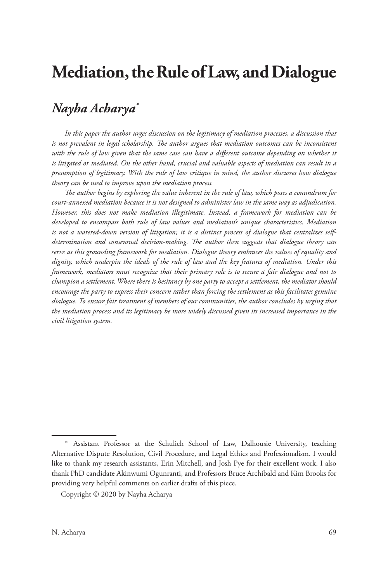# **Mediation, the Rule of Law, and Dialogue**

## *Nayha Acharya\**

*In this paper the author urges discussion on the legitimacy of mediation processes, a discussion that*  is not prevalent in legal scholarship. The author argues that mediation outcomes can be inconsistent with the rule of law given that the same case can have a different outcome depending on whether it *is litigated or mediated. On the other hand, crucial and valuable aspects of mediation can result in a presumption of legitimacy. With the rule of law critique in mind, the author discusses how dialogue theory can be used to improve upon the mediation process.* 

*The author begins by exploring the value inherent in the rule of law, which poses a conundrum for court-annexed mediation because it is not designed to administer law in the same way as adjudication. However, this does not make mediation illegitimate. Instead, a framework for mediation can be developed to encompass both rule of law values and mediation's unique characteristics. Mediation is not a watered-down version of litigation; it is a distinct process of dialogue that centralizes selfdetermination and consensual decision-making. The author then suggests that dialogue theory can serve as this grounding framework for mediation. Dialogue theory embraces the values of equality and dignity, which underpin the ideals of the rule of law and the key features of mediation. Under this framework, mediators must recognize that their primary role is to secure a fair dialogue and not to champion a settlement. Where there is hesitancy by one party to accept a settlement, the mediator should encourage the party to express their concern rather than forcing the settlement as this facilitates genuine dialogue. To ensure fair treatment of members of our communities, the author concludes by urging that the mediation process and its legitimacy be more widely discussed given its increased importance in the civil litigation system.*

<sup>\*</sup> Assistant Professor at the Schulich School of Law, Dalhousie University, teaching Alternative Dispute Resolution, Civil Procedure, and Legal Ethics and Professionalism. I would like to thank my research assistants, Erin Mitchell, and Josh Pye for their excellent work. I also thank PhD candidate Akinwumi Ogunranti, and Professors Bruce Archibald and Kim Brooks for providing very helpful comments on earlier drafts of this piece.

Copyright © 2020 by Nayha Acharya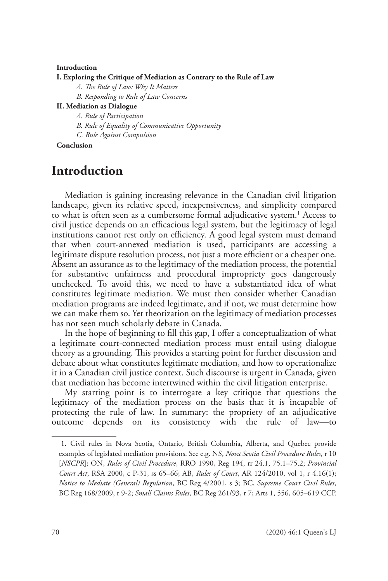#### **Introduction**

#### **I. Exploring the Critique of Mediation as Contrary to the Rule of Law**

*A. The Rule of Law: Why It Matters*

*B. Responding to Rule of Law Concerns*

#### **II. Mediation as Dialogue**

*A. Rule of Participation*

*B. Rule of Equality of Communicative Opportunity*

*C. Rule Against Compulsion*

**Conclusion**

## **Introduction**

Mediation is gaining increasing relevance in the Canadian civil litigation landscape, given its relative speed, inexpensiveness, and simplicity compared to what is often seen as a cumbersome formal adjudicative system.<sup>1</sup> Access to civil justice depends on an efficacious legal system, but the legitimacy of legal institutions cannot rest only on efficiency. A good legal system must demand that when court-annexed mediation is used, participants are accessing a legitimate dispute resolution process, not just a more efficient or a cheaper one. Absent an assurance as to the legitimacy of the mediation process, the potential for substantive unfairness and procedural impropriety goes dangerously unchecked. To avoid this, we need to have a substantiated idea of what constitutes legitimate mediation. We must then consider whether Canadian mediation programs are indeed legitimate, and if not, we must determine how we can make them so. Yet theorization on the legitimacy of mediation processes has not seen much scholarly debate in Canada.

In the hope of beginning to fill this gap, I offer a conceptualization of what a legitimate court-connected mediation process must entail using dialogue theory as a grounding. This provides a starting point for further discussion and debate about what constitutes legitimate mediation, and how to operationalize it in a Canadian civil justice context. Such discourse is urgent in Canada, given that mediation has become intertwined within the civil litigation enterprise.

My starting point is to interrogate a key critique that questions the legitimacy of the mediation process on the basis that it is incapable of protecting the rule of law. In summary: the propriety of an adjudicative outcome depends on its consistency with the rule of law—to

<sup>1.</sup> Civil rules in Nova Scotia, Ontario, British Columbia, Alberta, and Quebec provide examples of legislated mediation provisions. See e.g. NS, *Nova Scotia Civil Procedure Rules*, r 10 [*NSCPR*]; ON, *Rules of Civil Procedure*, RRO 1990, Reg 194, rr 24.1, 75.1–75.2; *Provincial Court Act*, RSA 2000, c P-31, ss 65–66; AB, *Rules of Court*, AR 124/2010, vol 1, r 4.16(1); *Notice to Mediate (General) Regulation*, BC Reg 4/2001, s 3; BC, *Supreme Court Civil Rules*, BC Reg 168/2009, r 9-2; *Small Claims Rules*, BC Reg 261/93, r 7; Arts 1, 556, 605–619 CCP.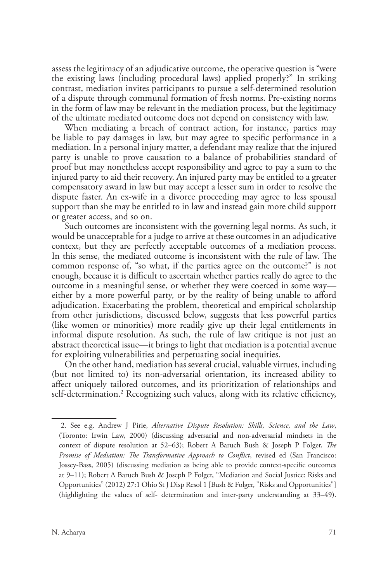assess the legitimacy of an adjudicative outcome, the operative question is "were the existing laws (including procedural laws) applied properly?" In striking contrast, mediation invites participants to pursue a self-determined resolution of a dispute through communal formation of fresh norms. Pre-existing norms in the form of law may be relevant in the mediation process, but the legitimacy of the ultimate mediated outcome does not depend on consistency with law.

When mediating a breach of contract action, for instance, parties may be liable to pay damages in law, but may agree to specific performance in a mediation. In a personal injury matter, a defendant may realize that the injured party is unable to prove causation to a balance of probabilities standard of proof but may nonetheless accept responsibility and agree to pay a sum to the injured party to aid their recovery. An injured party may be entitled to a greater compensatory award in law but may accept a lesser sum in order to resolve the dispute faster. An ex-wife in a divorce proceeding may agree to less spousal support than she may be entitled to in law and instead gain more child support or greater access, and so on.

Such outcomes are inconsistent with the governing legal norms. As such, it would be unacceptable for a judge to arrive at these outcomes in an adjudicative context, but they are perfectly acceptable outcomes of a mediation process. In this sense, the mediated outcome is inconsistent with the rule of law. The common response of, "so what, if the parties agree on the outcome?" is not enough, because it is difficult to ascertain whether parties really do agree to the outcome in a meaningful sense, or whether they were coerced in some way either by a more powerful party, or by the reality of being unable to afford adjudication. Exacerbating the problem, theoretical and empirical scholarship from other jurisdictions, discussed below, suggests that less powerful parties (like women or minorities) more readily give up their legal entitlements in informal dispute resolution. As such, the rule of law critique is not just an abstract theoretical issue—it brings to light that mediation is a potential avenue for exploiting vulnerabilities and perpetuating social inequities.

On the other hand, mediation has several crucial, valuable virtues, including (but not limited to) its non-adversarial orientation, its increased ability to affect uniquely tailored outcomes, and its prioritization of relationships and self-determination.2 Recognizing such values, along with its relative efficiency,

<sup>2.</sup> See e.g. Andrew J Pirie, *Alternative Dispute Resolution: Skills, Science, and the Law*, (Toronto: Irwin Law, 2000) (discussing adversarial and non-adversarial mindsets in the context of dispute resolution at 52–63); Robert A Baruch Bush & Joseph P Folger, *The Promise of Mediation: The Transformative Approach to Conflict*, revised ed (San Francisco: Jossey-Bass, 2005) (discussing mediation as being able to provide context-specific outcomes at 9–11); Robert A Baruch Bush & Joseph P Folger, "Mediation and Social Justice: Risks and Opportunities" (2012) 27:1 Ohio St J Disp Resol 1 [Bush & Folger, "Risks and Opportunities"] (highlighting the values of self- determination and inter-party understanding at 33–49).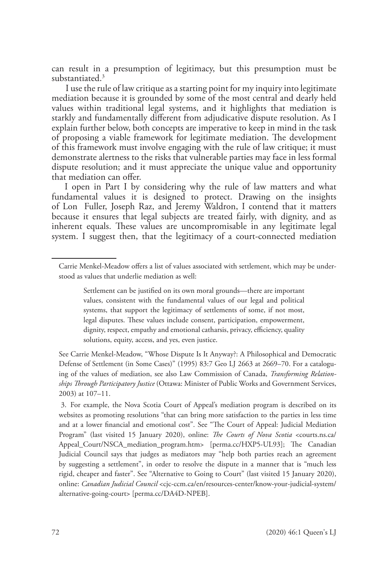can result in a presumption of legitimacy, but this presumption must be substantiated.<sup>3</sup>

I use the rule of law critique as a starting point for my inquiry into legitimate mediation because it is grounded by some of the most central and dearly held values within traditional legal systems, and it highlights that mediation is starkly and fundamentally different from adjudicative dispute resolution. As I explain further below, both concepts are imperative to keep in mind in the task of proposing a viable framework for legitimate mediation. The development of this framework must involve engaging with the rule of law critique; it must demonstrate alertness to the risks that vulnerable parties may face in less formal dispute resolution; and it must appreciate the unique value and opportunity that mediation can offer.

I open in Part I by considering why the rule of law matters and what fundamental values it is designed to protect. Drawing on the insights of Lon Fuller, Joseph Raz, and Jeremy Waldron, I contend that it matters because it ensures that legal subjects are treated fairly, with dignity, and as inherent equals. These values are uncompromisable in any legitimate legal system. I suggest then, that the legitimacy of a court-connected mediation

Carrie Menkel-Meadow offers a list of values associated with settlement, which may be understood as values that underlie mediation as well:

Settlement can be justified on its own moral grounds—there are important values, consistent with the fundamental values of our legal and political systems, that support the legitimacy of settlements of some, if not most, legal disputes. These values include consent, participation, empowerment, dignity, respect, empathy and emotional catharsis, privacy, efficiency, quality solutions, equity, access, and yes, even justice.

See Carrie Menkel-Meadow, "Whose Dispute Is It Anyway?: A Philosophical and Democratic Defense of Settlement (in Some Cases)" (1995) 83:7 Geo LJ 2663 at 2669–70. For a cataloguing of the values of mediation, see also Law Commission of Canada, *Transforming Relationships Through Participatory Justice* (Ottawa: Minister of Public Works and Government Services, 2003) at 107–11.

<sup>3.</sup> For example, the Nova Scotia Court of Appeal's mediation program is described on its websites as promoting resolutions "that can bring more satisfaction to the parties in less time and at a lower financial and emotional cost". See "The Court of Appeal: Judicial Mediation Program" (last visited 15 January 2020), online: *The Courts of Nova Scotia* <courts.ns.ca/ Appeal\_Court/NSCA\_mediation\_program.htm> [perma.cc/HXP5-UL93]; The Canadian Judicial Council says that judges as mediators may "help both parties reach an agreement by suggesting a settlement", in order to resolve the dispute in a manner that is "much less rigid, cheaper and faster". See "Alternative to Going to Court" (last visited 15 January 2020), online: *Canadian Judicial Council* <cjc-ccm.ca/en/resources-center/know-your-judicial-system/ alternative-going-court> [perma.cc/DA4D-NPEB].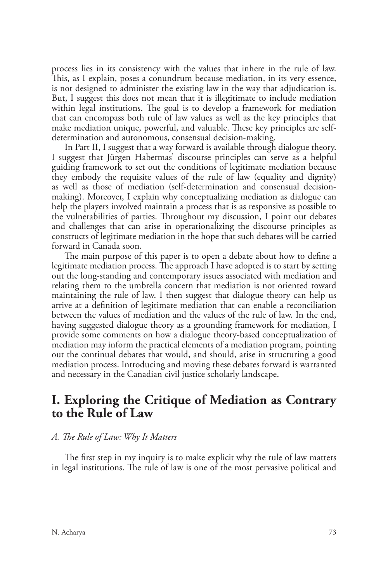process lies in its consistency with the values that inhere in the rule of law. This, as I explain, poses a conundrum because mediation, in its very essence, is not designed to administer the existing law in the way that adjudication is. But, I suggest this does not mean that it is illegitimate to include mediation within legal institutions. The goal is to develop a framework for mediation that can encompass both rule of law values as well as the key principles that make mediation unique, powerful, and valuable. These key principles are selfdetermination and autonomous, consensual decision-making.

In Part II, I suggest that a way forward is available through dialogue theory. I suggest that Jürgen Habermas' discourse principles can serve as a helpful guiding framework to set out the conditions of legitimate mediation because they embody the requisite values of the rule of law (equality and dignity) as well as those of mediation (self-determination and consensual decisionmaking). Moreover, I explain why conceptualizing mediation as dialogue can help the players involved maintain a process that is as responsive as possible to the vulnerabilities of parties. Throughout my discussion, I point out debates and challenges that can arise in operationalizing the discourse principles as constructs of legitimate mediation in the hope that such debates will be carried forward in Canada soon.

The main purpose of this paper is to open a debate about how to define a legitimate mediation process. The approach I have adopted is to start by setting out the long-standing and contemporary issues associated with mediation and relating them to the umbrella concern that mediation is not oriented toward maintaining the rule of law. I then suggest that dialogue theory can help us arrive at a definition of legitimate mediation that can enable a reconciliation between the values of mediation and the values of the rule of law. In the end, having suggested dialogue theory as a grounding framework for mediation, I provide some comments on how a dialogue theory-based conceptualization of mediation may inform the practical elements of a mediation program, pointing out the continual debates that would, and should, arise in structuring a good mediation process. Introducing and moving these debates forward is warranted and necessary in the Canadian civil justice scholarly landscape.

## **I. Exploring the Critique of Mediation as Contrary to the Rule of Law**

### *A. The Rule of Law: Why It Matters*

The first step in my inquiry is to make explicit why the rule of law matters in legal institutions. The rule of law is one of the most pervasive political and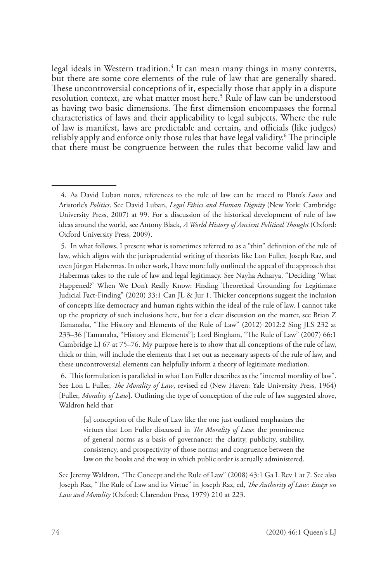legal ideals in Western tradition.<sup>4</sup> It can mean many things in many contexts, but there are some core elements of the rule of law that are generally shared. These uncontroversial conceptions of it, especially those that apply in a dispute resolution context, are what matter most here.5 Rule of law can be understood as having two basic dimensions. The first dimension encompasses the formal characteristics of laws and their applicability to legal subjects. Where the rule of law is manifest, laws are predictable and certain, and officials (like judges) reliably apply and enforce only those rules that have legal validity.<sup>6</sup> The principle that there must be congruence between the rules that become valid law and

<sup>4.</sup> As David Luban notes, references to the rule of law can be traced to Plato's *Laws* and Aristotle's *Politics*. See David Luban, *Legal Ethics and Human Dignity* (New York: Cambridge University Press, 2007) at 99. For a discussion of the historical development of rule of law ideas around the world, see Antony Black, *A World History of Ancient Political Thought* (Oxford: Oxford University Press, 2009).

<sup>5.</sup> In what follows, I present what is sometimes referred to as a "thin" definition of the rule of law, which aligns with the jurisprudential writing of theorists like Lon Fuller, Joseph Raz, and even Jürgen Habermas. In other work, I have more fully outlined the appeal of the approach that Habermas takes to the rule of law and legal legitimacy. See Nayha Acharya, "Deciding 'What Happened?' When We Don't Really Know: Finding Theoretical Grounding for Legitimate Judicial Fact-Finding" (2020) 33:1 Can JL & Jur 1. Thicker conceptions suggest the inclusion of concepts like democracy and human rights within the ideal of the rule of law. I cannot take up the propriety of such inclusions here, but for a clear discussion on the matter, see Brian Z Tamanaha, "The History and Elements of the Rule of Law" (2012) 2012:2 Sing JLS 232 at 233–36 [Tamanaha, "History and Elements"]; Lord Bingham, "The Rule of Law" (2007) 66:1 Cambridge LJ 67 at 75–76. My purpose here is to show that all conceptions of the rule of law, thick or thin, will include the elements that I set out as necessary aspects of the rule of law, and these uncontroversial elements can helpfully inform a theory of legitimate mediation.

<sup>6.</sup> This formulation is paralleled in what Lon Fuller describes as the "internal morality of law". See Lon L Fuller, *The Morality of Law*, revised ed (New Haven: Yale University Press, 1964) [Fuller, *Morality of Law*]. Outlining the type of conception of the rule of law suggested above, Waldron held that

<sup>[</sup>a] conception of the Rule of Law like the one just outlined emphasizes the virtues that Lon Fuller discussed in *The Morality of Law*: the prominence of general norms as a basis of governance; the clarity, publicity, stability, consistency, and prospectivity of those norms; and congruence between the law on the books and the way in which public order is actually administered.

See Jeremy Waldron, "The Concept and the Rule of Law" (2008) 43:1 Ga L Rev 1 at 7. See also Joseph Raz, "The Rule of Law and its Virtue" in Joseph Raz, ed, *The Authority of Law: Essays on Law and Morality* (Oxford: Clarendon Press, 1979) 210 at 223.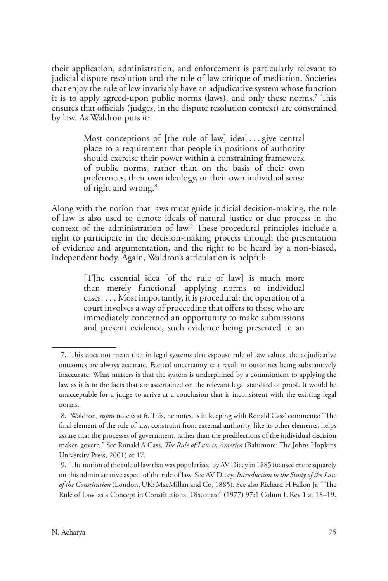their application, administration, and enforcement is particularly relevant to judicial dispute resolution and the rule of law critique of mediation. Societies that enjoy the rule of law invariably have an adjudicative system whose function it is to apply agreed-upon public norms (laws), and only these norms.7 This ensures that officials (judges, in the dispute resolution context) are constrained by law. As Waldron puts it:

> Most conceptions of [the rule of law] ideal ... give central place to a requirement that people in positions of authority should exercise their power within a constraining framework of public norms, rather than on the basis of their own preferences, their own ideology, or their own individual sense of right and wrong.<sup>8</sup>

Along with the notion that laws must guide judicial decision-making, the rule of law is also used to denote ideals of natural justice or due process in the context of the administration of law.<sup>9</sup> These procedural principles include a right to participate in the decision-making process through the presentation of evidence and argumentation, and the right to be heard by a non-biased, independent body. Again, Waldron's articulation is helpful:

> [T]he essential idea [of the rule of law] is much more than merely functional—applying norms to individual cases. . . . Most importantly, it is procedural: the operation of a court involves a way of proceeding that offers to those who are immediately concerned an opportunity to make submissions and present evidence, such evidence being presented in an

<sup>7.</sup> This does not mean that in legal systems that espouse rule of law values, the adjudicative outcomes are always accurate. Factual uncertainty can result in outcomes being substantively inaccurate. What matters is that the system is underpinned by a commitment to applying the law as it is to the facts that are ascertained on the relevant legal standard of proof. It would be unacceptable for a judge to arrive at a conclusion that is inconsistent with the existing legal norms.

<sup>8.</sup> Waldron, *supra* note 6 at 6. This, he notes, is in keeping with Ronald Cass' comments: "The final element of the rule of law, constraint from external authority, like its other elements, helps assure that the processes of government, rather than the predilections of the individual decision maker, govern." See Ronald A Cass, *The Rule of Law in America* (Baltimore: The Johns Hopkins University Press, 2001) at 17.

<sup>9.</sup> The notion of the rule of law that was popularized by AV Dicey in 1885 focused more squarely on this administrative aspect of the rule of law. See AV Dicey, *Introduction to the Study of the Law of the Constitution* (London, UK: MacMillan and Co, 1885). See also Richard H Fallon Jr, "'The Rule of Law' as a Concept in Constitutional Discourse" (1977) 97:1 Colum L Rev 1 at 18–19.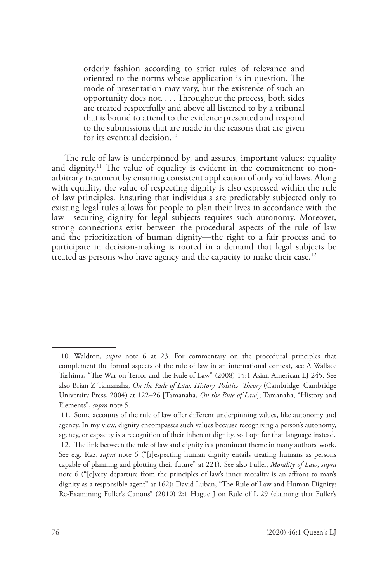orderly fashion according to strict rules of relevance and oriented to the norms whose application is in question. The mode of presentation may vary, but the existence of such an opportunity does not. . . . Throughout the process, both sides are treated respectfully and above all listened to by a tribunal that is bound to attend to the evidence presented and respond to the submissions that are made in the reasons that are given for its eventual decision.<sup>10</sup>

The rule of law is underpinned by, and assures, important values: equality and dignity.<sup>11</sup> The value of equality is evident in the commitment to nonarbitrary treatment by ensuring consistent application of only valid laws. Along with equality, the value of respecting dignity is also expressed within the rule of law principles. Ensuring that individuals are predictably subjected only to existing legal rules allows for people to plan their lives in accordance with the law—securing dignity for legal subjects requires such autonomy. Moreover, strong connections exist between the procedural aspects of the rule of law and the prioritization of human dignity—the right to a fair process and to participate in decision-making is rooted in a demand that legal subjects be treated as persons who have agency and the capacity to make their case.<sup>12</sup>

<sup>10.</sup> Waldron, *supra* note 6 at 23. For commentary on the procedural principles that complement the formal aspects of the rule of law in an international context, see A Wallace Tashima, "The War on Terror and the Rule of Law" (2008) 15:1 Asian American LJ 245. See also Brian Z Tamanaha, *On the Rule of Law: History, Politics, Theory* (Cambridge: Cambridge University Press, 2004) at 122–26 [Tamanaha, *On the Rule of Law*]; Tamanaha, "History and Elements", *supra* note 5.

<sup>11.</sup> Some accounts of the rule of law offer different underpinning values, like autonomy and agency. In my view, dignity encompasses such values because recognizing a person's autonomy, agency, or capacity is a recognition of their inherent dignity, so I opt for that language instead. 12. The link between the rule of law and dignity is a prominent theme in many authors' work. See e.g. Raz, *supra* note 6 ("[r]especting human dignity entails treating humans as persons capable of planning and plotting their future" at 221). See also Fuller, *Morality of Law*, *supra* note 6 ("[e]very departure from the principles of law's inner morality is an affront to man's dignity as a responsible agent" at 162); David Luban, "The Rule of Law and Human Dignity: Re-Examining Fuller's Canons" (2010) 2:1 Hague J on Rule of L 29 (claiming that Fuller's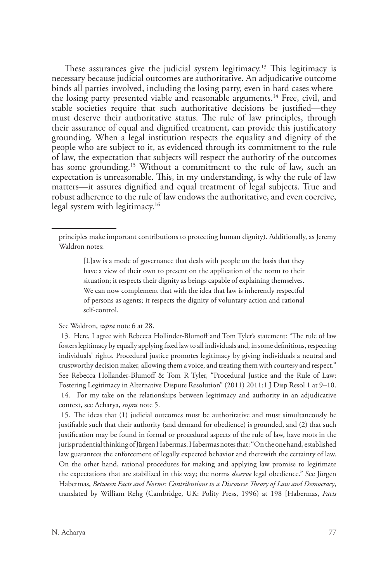These assurances give the judicial system legitimacy.<sup>13</sup> This legitimacy is necessary because judicial outcomes are authoritative. An adjudicative outcome binds all parties involved, including the losing party, even in hard cases where the losing party presented viable and reasonable arguments.14 Free, civil, and stable societies require that such authoritative decisions be justified—they must deserve their authoritative status. The rule of law principles, through their assurance of equal and dignified treatment, can provide this justificatory grounding. When a legal institution respects the equality and dignity of the people who are subject to it, as evidenced through its commitment to the rule of law, the expectation that subjects will respect the authority of the outcomes has some grounding.<sup>15</sup> Without a commitment to the rule of law, such an expectation is unreasonable. This, in my understanding, is why the rule of law matters—it assures dignified and equal treatment of legal subjects. True and robust adherence to the rule of law endows the authoritative, and even coercive, legal system with legitimacy.<sup>16</sup>

[L]aw is a mode of governance that deals with people on the basis that they have a view of their own to present on the application of the norm to their situation; it respects their dignity as beings capable of explaining themselves. We can now complement that with the idea that law is inherently respectful of persons as agents; it respects the dignity of voluntary action and rational self-control.

See Waldron, *supra* note 6 at 28.

13. Here, I agree with Rebecca Hollinder-Blumoff and Tom Tyler's statement: "The rule of law fosters legitimacy by equally applying fixed law to all individuals and, in some definitions, respecting individuals' rights. Procedural justice promotes legitimacy by giving individuals a neutral and trustworthy decision maker, allowing them a voice, and treating them with courtesy and respect." See Rebecca Hollander-Blumoff & Tom R Tyler, "Procedural Justice and the Rule of Law: Fostering Legitimacy in Alternative Dispute Resolution" (2011) 2011:1 J Disp Resol 1 at 9–10. 14. For my take on the relationships between legitimacy and authority in an adjudicative context, see Acharya, *supra* note 5.

15. The ideas that (1) judicial outcomes must be authoritative and must simultaneously be justifiable such that their authority (and demand for obedience) is grounded, and (2) that such justification may be found in formal or procedural aspects of the rule of law, have roots in the jurisprudential thinking of Jürgen Habermas. Habermas notes that: "On the one hand, established law guarantees the enforcement of legally expected behavior and therewith the certainty of law. On the other hand, rational procedures for making and applying law promise to legitimate the expectations that are stabilized in this way; the norms *deserve* legal obedience." See Jürgen Habermas, *Between Facts and Norms: Contributions to a Discourse Theory of Law and Democracy*, translated by William Rehg (Cambridge, UK: Polity Press, 1996) at 198 [Habermas, *Facts*

principles make important contributions to protecting human dignity). Additionally, as Jeremy Waldron notes: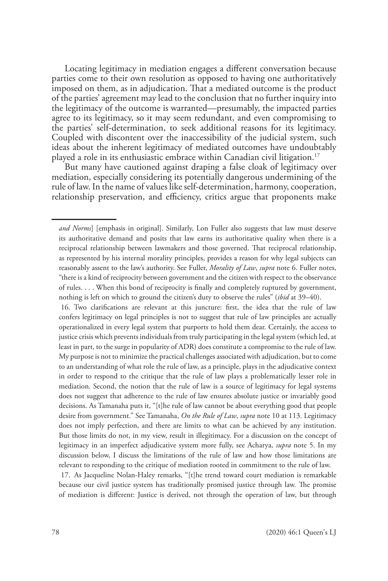Locating legitimacy in mediation engages a different conversation because parties come to their own resolution as opposed to having one authoritatively imposed on them, as in adjudication. That a mediated outcome is the product of the parties' agreement may lead to the conclusion that no further inquiry into the legitimacy of the outcome is warranted—presumably, the impacted parties agree to its legitimacy, so it may seem redundant, and even compromising to the parties' self-determination, to seek additional reasons for its legitimacy. Coupled with discontent over the inaccessibility of the judicial system, such ideas about the inherent legitimacy of mediated outcomes have undoubtably played a role in its enthusiastic embrace within Canadian civil litigation.<sup>17</sup>

But many have cautioned against draping a false cloak of legitimacy over mediation, especially considering its potentially dangerous undermining of the rule of law. In the name of values like self-determination, harmony, cooperation, relationship preservation, and efficiency, critics argue that proponents make

*and Norms*] [emphasis in original]. Similarly, Lon Fuller also suggests that law must deserve its authoritative demand and posits that law earns its authoritative quality when there is a reciprocal relationship between lawmakers and those governed. That reciprocal relationship, as represented by his internal morality principles, provides a reason for why legal subjects can reasonably assent to the law's authority. See Fuller, *Morality of Law*, *supra* note 6. Fuller notes, "there is a kind of reciprocity between government and the citizen with respect to the observance of rules. . . . When this bond of reciprocity is finally and completely ruptured by government, nothing is left on which to ground the citizen's duty to observe the rules" (*ibid* at 39–40).

<sup>16.</sup> Two clarifications are relevant at this juncture: first, the idea that the rule of law confers legitimacy on legal principles is not to suggest that rule of law principles are actually operationalized in every legal system that purports to hold them dear. Certainly, the access to justice crisis which prevents individuals from truly participating in the legal system (which led, at least in part, to the surge in popularity of ADR) does constitute a compromise to the rule of law. My purpose is not to minimize the practical challenges associated with adjudication, but to come to an understanding of what role the rule of law, as a principle, plays in the adjudicative context in order to respond to the critique that the rule of law plays a problematically lesser role in mediation. Second, the notion that the rule of law is a source of legitimacy for legal systems does not suggest that adherence to the rule of law ensures absolute justice or invariably good decisions. As Tamanaha puts it, "[t]he rule of law cannot be about everything good that people desire from government." See Tamanaha, *On the Rule of Law*, *supra* note 10 at 113. Legitimacy does not imply perfection, and there are limits to what can be achieved by any institution. But those limits do not, in my view, result in illegitimacy. For a discussion on the concept of legitimacy in an imperfect adjudicative system more fully, see Acharya, *supra* note 5. In my discussion below, I discuss the limitations of the rule of law and how those limitations are relevant to responding to the critique of mediation rooted in commitment to the rule of law. 17. As Jacqueline Nolan-Haley remarks, "[t]he trend toward court mediation is remarkable because our civil justice system has traditionally promised justice through law. The promise of mediation is different: Justice is derived, not through the operation of law, but through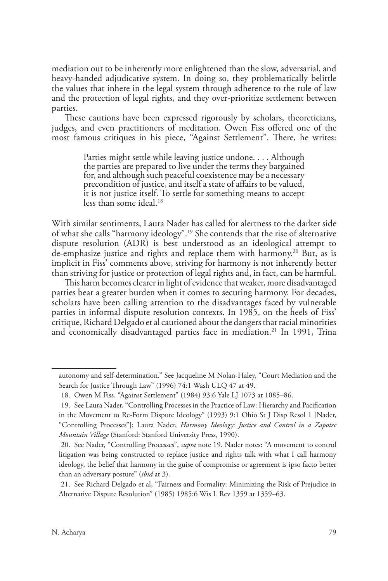mediation out to be inherently more enlightened than the slow, adversarial, and heavy-handed adjudicative system. In doing so, they problematically belittle the values that inhere in the legal system through adherence to the rule of law and the protection of legal rights, and they over-prioritize settlement between parties.

These cautions have been expressed rigorously by scholars, theoreticians, judges, and even practitioners of meditation. Owen Fiss offered one of the most famous critiques in his piece, "Against Settlement". There, he writes:

> Parties might settle while leaving justice undone. . . . Although the parties are prepared to live under the terms they bargained for, and although such peaceful coexistence may be a necessary precondition of justice, and itself a state of affairs to be valued, it is not justice itself. To settle for something means to accept less than some ideal.<sup>18</sup>

With similar sentiments, Laura Nader has called for alertness to the darker side of what she calls "harmony ideology".19 She contends that the rise of alternative dispute resolution (ADR) is best understood as an ideological attempt to de-emphasize justice and rights and replace them with harmony.<sup>20</sup> But, as is implicit in Fiss' comments above, striving for harmony is not inherently better than striving for justice or protection of legal rights and, in fact, can be harmful.

This harm becomes clearer in light of evidence that weaker, more disadvantaged parties bear a greater burden when it comes to securing harmony. For decades, scholars have been calling attention to the disadvantages faced by vulnerable parties in informal dispute resolution contexts. In 1985, on the heels of Fiss' critique, Richard Delgado et al cautioned about the dangers that racial minorities and economically disadvantaged parties face in mediation.<sup>21</sup> In 1991, Trina

autonomy and self-determination." See Jacqueline M Nolan-Haley, "Court Mediation and the Search for Justice Through Law" (1996) 74:1 Wash ULQ 47 at 49.

<sup>18.</sup> Owen M Fiss, "Against Settlement" (1984) 93:6 Yale LJ 1073 at 1085–86.

<sup>19.</sup> See Laura Nader, "Controlling Processes in the Practice of Law: Hierarchy and Pacification in the Movement to Re-Form Dispute Ideology" (1993) 9:1 Ohio St J Disp Resol 1 [Nader, "Controlling Processes"]; Laura Nader, *Harmony Ideology: Justice and Control in a Zapotec Mountain Village* (Stanford: Stanford University Press, 1990).

<sup>20.</sup> See Nader, "Controlling Processes", *supra* note 19. Nader notes: "A movement to control litigation was being constructed to replace justice and rights talk with what I call harmony ideology, the belief that harmony in the guise of compromise or agreement is ipso facto better than an adversary posture" (*ibid* at 3).

<sup>21.</sup> See Richard Delgado et al, "Fairness and Formality: Minimizing the Risk of Prejudice in Alternative Dispute Resolution" (1985) 1985:6 Wis L Rev 1359 at 1359–63.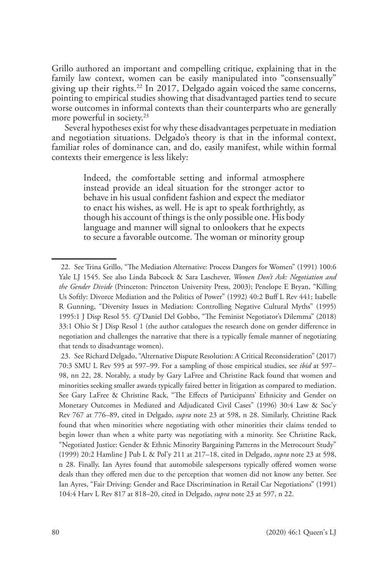Grillo authored an important and compelling critique, explaining that in the family law context, women can be easily manipulated into "consensually" giving up their rights.<sup>22</sup> In 2017, Delgado again voiced the same concerns, pointing to empirical studies showing that disadvantaged parties tend to secure worse outcomes in informal contexts than their counterparts who are generally more powerful in society.<sup>23</sup>

Several hypotheses exist for why these disadvantages perpetuate in mediation and negotiation situations. Delgado's theory is that in the informal context, familiar roles of dominance can, and do, easily manifest, while within formal contexts their emergence is less likely:

> Indeed, the comfortable setting and informal atmosphere instead provide an ideal situation for the stronger actor to behave in his usual confident fashion and expect the mediator to enact his wishes, as well. He is apt to speak forthrightly, as though his account of things is the only possible one. His body language and manner will signal to onlookers that he expects to secure a favorable outcome. The woman or minority group

<sup>22.</sup> See Trina Grillo, "The Mediation Alternative: Process Dangers for Women" (1991) 100:6 Yale LJ 1545. See also Linda Babcock & Sara Laschever, *Women Don't Ask: Negotiation and the Gender Divide* (Princeton: Princeton University Press, 2003); Penelope E Bryan, "Killing Us Softly: Divorce Mediation and the Politics of Power" (1992) 40:2 Buff L Rev 441; Isabelle R Gunning, "Diversity Issues in Mediation: Controlling Negative Cultural Myths" (1995) 1995:1 J Disp Resol 55. *Cf* Daniel Del Gobbo, "The Feminist Negotiator's Dilemma" (2018) 33:1 Ohio St J Disp Resol 1 (the author catalogues the research done on gender difference in negotiation and challenges the narrative that there is a typically female manner of negotiating that tends to disadvantage women).

<sup>23.</sup> See Richard Delgado, "Alternative Dispute Resolution: A Critical Reconsideration" (2017) 70:3 SMU L Rev 595 at 597–99. For a sampling of those empirical studies, see *ibid* at 597– 98, nn 22, 28. Notably, a study by Gary LaFree and Christine Rack found that women and minorities seeking smaller awards typically faired better in litigation as compared to mediation. See Gary LaFree & Christine Rack, "The Effects of Participants' Ethnicity and Gender on Monetary Outcomes in Mediated and Adjudicated Civil Cases" (1996) 30:4 Law & Soc'y Rev 767 at 776–89, cited in Delgado, *supra* note 23 at 598, n 28. Similarly, Christine Rack found that when minorities where negotiating with other minorities their claims tended to begin lower than when a white party was negotiating with a minority. See Christine Rack, "Negotiated Justice: Gender & Ethnic Minority Bargaining Patterns in the Metrocourt Study" (1999) 20:2 Hamline J Pub L & Pol'y 211 at 217–18, cited in Delgado, *supra* note 23 at 598, n 28. Finally, Ian Ayres found that automobile salespersons typically offered women worse deals than they offered men due to the perception that women did not know any better. See Ian Ayres, "Fair Driving: Gender and Race Discrimination in Retail Car Negotiations" (1991) 104:4 Harv L Rev 817 at 818–20, cited in Delgado, *supra* note 23 at 597, n 22.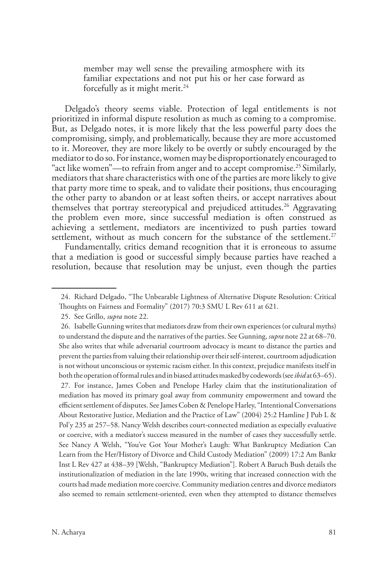member may well sense the prevailing atmosphere with its familiar expectations and not put his or her case forward as forcefully as it might merit.<sup>24</sup>

Delgado's theory seems viable. Protection of legal entitlements is not prioritized in informal dispute resolution as much as coming to a compromise. But, as Delgado notes, it is more likely that the less powerful party does the compromising, simply, and problematically, because they are more accustomed to it. Moreover, they are more likely to be overtly or subtly encouraged by the mediator to do so. For instance, women may be disproportionately encouraged to "act like women"—to refrain from anger and to accept compromise.25 Similarly, mediators that share characteristics with one of the parties are more likely to give that party more time to speak, and to validate their positions, thus encouraging the other party to abandon or at least soften theirs, or accept narratives about themselves that portray stereotypical and prejudiced attitudes.<sup>26</sup> Aggravating the problem even more, since successful mediation is often construed as achieving a settlement, mediators are incentivized to push parties toward settlement, without as much concern for the substance of the settlement.<sup>27</sup>

Fundamentally, critics demand recognition that it is erroneous to assume that a mediation is good or successful simply because parties have reached a resolution, because that resolution may be unjust, even though the parties

<sup>24.</sup> Richard Delgado, "The Unbearable Lightness of Alternative Dispute Resolution: Critical Thoughts on Fairness and Formality" (2017) 70:3 SMU L Rev 611 at 621.

<sup>25.</sup> See Grillo, *supra* note 22.

<sup>26.</sup> Isabelle Gunning writes that mediators draw from their own experiences (or cultural myths) to understand the dispute and the narratives of the parties. See Gunning, *supra* note 22 at 68–70. She also writes that while adversarial courtroom advocacy is meant to distance the parties and prevent the parties from valuing their relationship over their self-interest, courtroom adjudication is not without unconscious or systemic racism either. In this context, prejudice manifests itself in both the operation of formal rules and in biased attitudes masked by codewords (see *ibid* at 63–65). 27. For instance, James Coben and Penelope Harley claim that the institutionalization of mediation has moved its primary goal away from community empowerment and toward the efficient settlement of disputes. See James Coben & Penelope Harley, "Intentional Conversations About Restorative Justice, Mediation and the Practice of Law" (2004) 25:2 Hamline J Pub L & Pol'y 235 at 257–58. Nancy Welsh describes court-connected mediation as especially evaluative or coercive, with a mediator's success measured in the number of cases they successfully settle. See Nancy A Welsh, "You've Got Your Mother's Laugh: What Bankruptcy Mediation Can Learn from the Her/History of Divorce and Child Custody Mediation" (2009) 17:2 Am Bankr Inst L Rev 427 at 438–39 [Welsh, "Bankruptcy Mediation"]. Robert A Baruch Bush details the institutionalization of mediation in the late 1990s, writing that increased connection with the courts had made mediation more coercive. Community mediation centres and divorce mediators also seemed to remain settlement-oriented, even when they attempted to distance themselves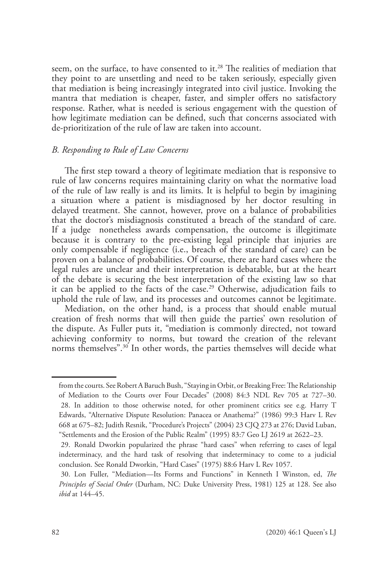seem, on the surface, to have consented to it.<sup>28</sup> The realities of mediation that they point to are unsettling and need to be taken seriously, especially given that mediation is being increasingly integrated into civil justice. Invoking the mantra that mediation is cheaper, faster, and simpler offers no satisfactory response. Rather, what is needed is serious engagement with the question of how legitimate mediation can be defined, such that concerns associated with de-prioritization of the rule of law are taken into account.

#### *B. Responding to Rule of Law Concerns*

The first step toward a theory of legitimate mediation that is responsive to rule of law concerns requires maintaining clarity on what the normative load of the rule of law really is and its limits. It is helpful to begin by imagining a situation where a patient is misdiagnosed by her doctor resulting in delayed treatment. She cannot, however, prove on a balance of probabilities that the doctor's misdiagnosis constituted a breach of the standard of care. If a judge nonetheless awards compensation, the outcome is illegitimate because it is contrary to the pre-existing legal principle that injuries are only compensable if negligence (i.e., breach of the standard of care) can be proven on a balance of probabilities. Of course, there are hard cases where the legal rules are unclear and their interpretation is debatable, but at the heart of the debate is securing the best interpretation of the existing law so that it can be applied to the facts of the case.<sup>29</sup> Otherwise, adjudication fails to uphold the rule of law, and its processes and outcomes cannot be legitimate.

Mediation, on the other hand, is a process that should enable mutual creation of fresh norms that will then guide the parties' own resolution of the dispute. As Fuller puts it, "mediation is commonly directed, not toward achieving conformity to norms, but toward the creation of the relevant norms themselves".<sup>30</sup> In other words, the parties themselves will decide what

from the courts. See Robert A Baruch Bush, "Staying in Orbit, or Breaking Free: The Relationship of Mediation to the Courts over Four Decades" (2008) 84:3 NDL Rev 705 at 727–30. 28. In addition to those otherwise noted, for other prominent critics see e.g. Harry T Edwards, "Alternative Dispute Resolution: Panacea or Anathema?" (1986) 99:3 Harv L Rev 668 at 675–82; Judith Resnik, "Procedure's Projects" (2004) 23 CJQ 273 at 276; David Luban, "Settlements and the Erosion of the Public Realm" (1995) 83:7 Geo LJ 2619 at 2622–23.

<sup>29.</sup> Ronald Dworkin popularized the phrase "hard cases" when referring to cases of legal indeterminacy, and the hard task of resolving that indeterminacy to come to a judicial conclusion. See Ronald Dworkin, "Hard Cases" (1975) 88:6 Harv L Rev 1057.

<sup>30.</sup> Lon Fuller, "Mediation—Its Forms and Functions" in Kenneth I Winston, ed, *The Principles of Social Order* (Durham, NC: Duke University Press, 1981) 125 at 128. See also *ibid* at 144–45.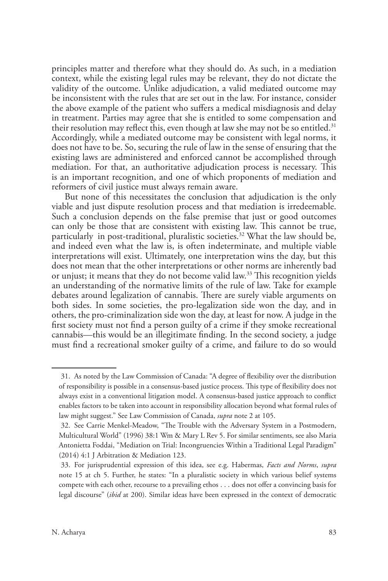principles matter and therefore what they should do. As such, in a mediation context, while the existing legal rules may be relevant, they do not dictate the validity of the outcome. Unlike adjudication, a valid mediated outcome may be inconsistent with the rules that are set out in the law. For instance, consider the above example of the patient who suffers a medical misdiagnosis and delay in treatment. Parties may agree that she is entitled to some compensation and their resolution may reflect this, even though at law she may not be so entitled.<sup>31</sup> Accordingly, while a mediated outcome may be consistent with legal norms, it does not have to be. So, securing the rule of law in the sense of ensuring that the existing laws are administered and enforced cannot be accomplished through mediation. For that, an authoritative adjudication process is necessary. This is an important recognition, and one of which proponents of mediation and reformers of civil justice must always remain aware.

But none of this necessitates the conclusion that adjudication is the only viable and just dispute resolution process and that mediation is irredeemable. Such a conclusion depends on the false premise that just or good outcomes can only be those that are consistent with existing law. This cannot be true, particularly in post-traditional, pluralistic societies.<sup>32</sup> What the law should be, and indeed even what the law is, is often indeterminate, and multiple viable interpretations will exist. Ultimately, one interpretation wins the day, but this does not mean that the other interpretations or other norms are inherently bad or unjust; it means that they do not become valid law.<sup>33</sup> This recognition yields an understanding of the normative limits of the rule of law. Take for example debates around legalization of cannabis. There are surely viable arguments on both sides. In some societies, the pro-legalization side won the day, and in others, the pro-criminalization side won the day, at least for now. A judge in the first society must not find a person guilty of a crime if they smoke recreational cannabis—this would be an illegitimate finding. In the second society, a judge must find a recreational smoker guilty of a crime, and failure to do so would

<sup>31.</sup> As noted by the Law Commission of Canada: "A degree of flexibility over the distribution of responsibility is possible in a consensus-based justice process. This type of flexibility does not always exist in a conventional litigation model. A consensus-based justice approach to conflict enables factors to be taken into account in responsibility allocation beyond what formal rules of law might suggest." See Law Commission of Canada, *supra* note 2 at 105.

<sup>32.</sup> See Carrie Menkel-Meadow, "The Trouble with the Adversary System in a Postmodern, Multicultural World" (1996) 38:1 Wm & Mary L Rev 5. For similar sentiments, see also Maria Antonietta Foddai, "Mediation on Trial: Incongruencies Within a Traditional Legal Paradigm" (2014) 4:1 J Arbitration & Mediation 123.

<sup>33.</sup> For jurisprudential expression of this idea, see e.g. Habermas, *Facts and Norms*, *supra* note 15 at ch 5. Further, he states: "In a pluralistic society in which various belief systems compete with each other, recourse to a prevailing ethos . . . does not offer a convincing basis for legal discourse" (*ibid* at 200). Similar ideas have been expressed in the context of democratic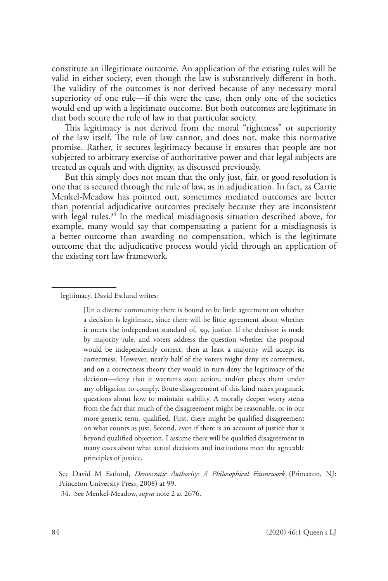constitute an illegitimate outcome. An application of the existing rules will be valid in either society, even though the law is substantively different in both. The validity of the outcomes is not derived because of any necessary moral superiority of one rule—if this were the case, then only one of the societies would end up with a legitimate outcome. But both outcomes are legitimate in that both secure the rule of law in that particular society.

This legitimacy is not derived from the moral "rightness" or superiority of the law itself. The rule of law cannot, and does not, make this normative promise. Rather, it secures legitimacy because it ensures that people are not subjected to arbitrary exercise of authoritative power and that legal subjects are treated as equals and with dignity, as discussed previously.

But this simply does not mean that the only just, fair, or good resolution is one that is secured through the rule of law, as in adjudication. In fact, as Carrie Menkel-Meadow has pointed out, sometimes mediated outcomes are better than potential adjudicative outcomes precisely because they are inconsistent with legal rules.<sup>34</sup> In the medical misdiagnosis situation described above, for example, many would say that compensating a patient for a misdiagnosis is a better outcome than awarding no compensation, which is the legitimate outcome that the adjudicative process would yield through an application of the existing tort law framework.

legitimacy. David Estlund writes:

[I]n a diverse community there is bound to be little agreement on whether a decision is legitimate, since there will be little agreement about whether it meets the independent standard of, say, justice. If the decision is made by majority rule, and voters address the question whether the proposal would be independently correct, then at least a majority will accept its correctness. However, nearly half of the voters might deny its correctness, and on a correctness theory they would in turn deny the legitimacy of the decision—deny that it warrants state action, and/or places them under any obligation to comply. Brute disagreement of this kind raises pragmatic questions about how to maintain stability. A morally deeper worry stems from the fact that much of the disagreement might be reasonable, or in our more generic term, qualified. First, there might be qualified disagreement on what counts as just. Second, even if there is an account of justice that is beyond qualified objection, I assume there will be qualified disagreement in many cases about what actual decisions and institutions meet the agreeable principles of justice.

See David M Estlund, *Democratic Authority: A Philosophical Framework* (Princeton, NJ: Princeton University Press, 2008) at 99.

34. See Menkel-Meadow, *supra* note 2 at 2676.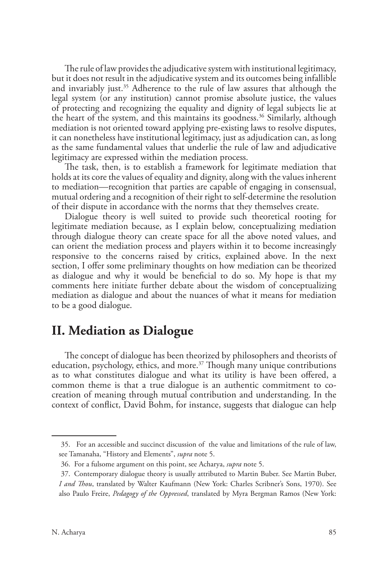The rule of law provides the adjudicative system with institutional legitimacy, but it does not result in the adjudicative system and its outcomes being infallible and invariably just.<sup>35</sup> Adherence to the rule of law assures that although the legal system (or any institution) cannot promise absolute justice, the values of protecting and recognizing the equality and dignity of legal subjects lie at the heart of the system, and this maintains its goodness.<sup>36</sup> Similarly, although mediation is not oriented toward applying pre-existing laws to resolve disputes, it can nonetheless have institutional legitimacy, just as adjudication can, as long as the same fundamental values that underlie the rule of law and adjudicative legitimacy are expressed within the mediation process.

The task, then, is to establish a framework for legitimate mediation that holds at its core the values of equality and dignity, along with the values inherent to mediation—recognition that parties are capable of engaging in consensual, mutual ordering and a recognition of their right to self-determine the resolution of their dispute in accordance with the norms that they themselves create.

Dialogue theory is well suited to provide such theoretical rooting for legitimate mediation because, as I explain below, conceptualizing mediation through dialogue theory can create space for all the above noted values, and can orient the mediation process and players within it to become increasingly responsive to the concerns raised by critics, explained above. In the next section, I offer some preliminary thoughts on how mediation can be theorized as dialogue and why it would be beneficial to do so. My hope is that my comments here initiate further debate about the wisdom of conceptualizing mediation as dialogue and about the nuances of what it means for mediation to be a good dialogue.

## **II. Mediation as Dialogue**

The concept of dialogue has been theorized by philosophers and theorists of education, psychology, ethics, and more.<sup>37</sup> Though many unique contributions as to what constitutes dialogue and what its utility is have been offered, a common theme is that a true dialogue is an authentic commitment to cocreation of meaning through mutual contribution and understanding. In the context of conflict, David Bohm, for instance, suggests that dialogue can help

<sup>35.</sup> For an accessible and succinct discussion of the value and limitations of the rule of law, see Tamanaha, "History and Elements", *supra* note 5.

<sup>36.</sup> For a fulsome argument on this point, see Acharya, *supra* note 5.

<sup>37.</sup> Contemporary dialogue theory is usually attributed to Martin Buber. See Martin Buber, *I and Thou*, translated by Walter Kaufmann (New York: Charles Scribner's Sons, 1970). See also Paulo Freire, *Pedagogy of the Oppressed*, translated by Myra Bergman Ramos (New York: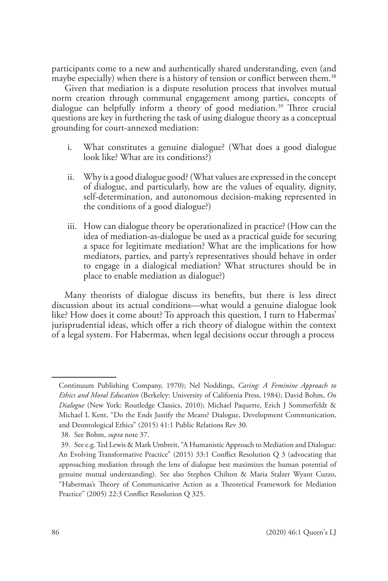participants come to a new and authentically shared understanding, even (and maybe especially) when there is a history of tension or conflict between them.<sup>38</sup>

Given that mediation is a dispute resolution process that involves mutual norm creation through communal engagement among parties, concepts of dialogue can helpfully inform a theory of good mediation.<sup>39</sup> Three crucial questions are key in furthering the task of using dialogue theory as a conceptual grounding for court-annexed mediation:

- i. What constitutes a genuine dialogue? (What does a good dialogue look like? What are its conditions?)
- ii. Why is a good dialogue good? (What values are expressed in the concept of dialogue, and particularly, how are the values of equality, dignity, self-determination, and autonomous decision-making represented in the conditions of a good dialogue?)
- iii. How can dialogue theory be operationalized in practice? (How can the idea of mediation-as-dialogue be used as a practical guide for securing a space for legitimate mediation? What are the implications for how mediators, parties, and party's representatives should behave in order to engage in a dialogical mediation? What structures should be in place to enable mediation as dialogue?)

Many theorists of dialogue discuss its benefits, but there is less direct discussion about its actual conditions—what would a genuine dialogue look like? How does it come about? To approach this question, I turn to Habermas' jurisprudential ideas, which offer a rich theory of dialogue within the context of a legal system. For Habermas, when legal decisions occur through a process

Continuum Publishing Company, 1970); Nel Noddings, *Caring: A Feminine Approach to Ethics and Moral Education* (Berkeley: University of California Press, 1984); David Bohm, *On Dialogue* (New York: Routledge Classics, 2010); Michael Paquette, Erich J Sommerfeldt & Michael L Kent, "Do the Ends Justify the Means? Dialogue, Development Communication, and Deontological Ethics" (2015) 41:1 Public Relations Rev 30.

<sup>38.</sup> See Bohm, *supra* note 37.

<sup>39.</sup> See e.g. Ted Lewis & Mark Umbreit, "A Humanistic Approach to Mediation and Dialogue: An Evolving Transformative Practice" (2015) 33:1 Conflict Resolution Q 3 (advocating that approaching mediation through the lens of dialogue best maximizes the human potential of genuine mutual understanding). See also Stephen Chilton & Maria Stalzer Wyant Cuzzo, "Habermas's Theory of Communicative Action as a Theoretical Framework for Mediation Practice" (2005) 22:3 Conflict Resolution Q 325.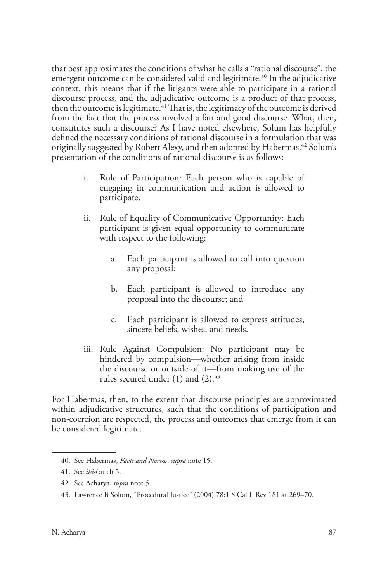that best approximates the conditions of what he calls a "rational discourse", the emergent outcome can be considered valid and legitimate.<sup>40</sup> In the adjudicative context, this means that if the litigants were able to participate in a rational discourse process, and the adjudicative outcome is a product of that process, then the outcome is legitimate.<sup>41</sup> That is, the legitimacy of the outcome is derived from the fact that the process involved a fair and good discourse. What, then, constitutes such a discourse? As I have noted elsewhere, Solum has helpfully defined the necessary conditions of rational discourse in a formulation that was originally suggested by Robert Alexy, and then adopted by Habermas.<sup>42</sup> Solum's presentation of the conditions of rational discourse is as follows:

- i. Rule of Participation: Each person who is capable of engaging in communication and action is allowed to participate.
- ii. Rule of Equality of Communicative Opportunity: Each participant is given equal opportunity to communicate with respect to the following:
	- a. Each participant is allowed to call into question any proposal;
	- b. Each participant is allowed to introduce any proposal into the discourse; and
	- c. Each participant is allowed to express attitudes, sincere beliefs, wishes, and needs.
- iii. Rule Against Compulsion: No participant may be hindered by compulsion—whether arising from inside the discourse or outside of it—from making use of the rules secured under  $(1)$  and  $(2).^{43}$

For Habermas, then, to the extent that discourse principles are approximated within adjudicative structures, such that the conditions of participation and non-coercion are respected, the process and outcomes that emerge from it can be considered legitimate.

<sup>40.</sup> See Habermas, *Facts and Norms*, *supra* note 15.

<sup>41.</sup> See *ibid* at ch 5.

<sup>42.</sup> See Acharya, *supra* note 5.

<sup>43.</sup> Lawrence B Solum, "Procedural Justice" (2004) 78:1 S Cal L Rev 181 at 269–70.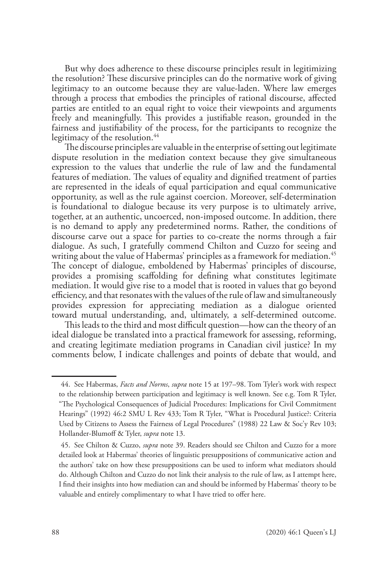But why does adherence to these discourse principles result in legitimizing the resolution? These discursive principles can do the normative work of giving legitimacy to an outcome because they are value-laden. Where law emerges through a process that embodies the principles of rational discourse, affected parties are entitled to an equal right to voice their viewpoints and arguments freely and meaningfully. This provides a justifiable reason, grounded in the fairness and justifiability of the process, for the participants to recognize the legitimacy of the resolution.<sup>44</sup>

The discourse principles are valuable in the enterprise of setting out legitimate dispute resolution in the mediation context because they give simultaneous expression to the values that underlie the rule of law and the fundamental features of mediation. The values of equality and dignified treatment of parties are represented in the ideals of equal participation and equal communicative opportunity, as well as the rule against coercion. Moreover, self-determination is foundational to dialogue because its very purpose is to ultimately arrive, together, at an authentic, uncoerced, non-imposed outcome. In addition, there is no demand to apply any predetermined norms. Rather, the conditions of discourse carve out a space for parties to co-create the norms through a fair dialogue. As such, I gratefully commend Chilton and Cuzzo for seeing and writing about the value of Habermas' principles as a framework for mediation.<sup>45</sup> The concept of dialogue, emboldened by Habermas' principles of discourse, provides a promising scaffolding for defining what constitutes legitimate mediation. It would give rise to a model that is rooted in values that go beyond efficiency, and that resonates with the values of the rule of law and simultaneously provides expression for appreciating mediation as a dialogue oriented toward mutual understanding, and, ultimately, a self-determined outcome.

This leads to the third and most difficult question—how can the theory of an ideal dialogue be translated into a practical framework for assessing, reforming, and creating legitimate mediation programs in Canadian civil justice? In my comments below, I indicate challenges and points of debate that would, and

<sup>44.</sup> See Habermas, *Facts and Norms*, *supra* note 15 at 197–98. Tom Tyler's work with respect to the relationship between participation and legitimacy is well known. See e.g. Tom R Tyler, "The Psychological Consequences of Judicial Procedures: Implications for Civil Commitment Hearings" (1992) 46:2 SMU L Rev 433; Tom R Tyler, "What is Procedural Justice?: Criteria Used by Citizens to Assess the Fairness of Legal Procedures" (1988) 22 Law & Soc'y Rev 103; Hollander-Blumoff & Tyler, *supra* note 13.

<sup>45.</sup> See Chilton & Cuzzo, *supra* note 39. Readers should see Chilton and Cuzzo for a more detailed look at Habermas' theories of linguistic presuppositions of communicative action and the authors' take on how these presuppositions can be used to inform what mediators should do. Although Chilton and Cuzzo do not link their analysis to the rule of law, as I attempt here, I find their insights into how mediation can and should be informed by Habermas' theory to be valuable and entirely complimentary to what I have tried to offer here.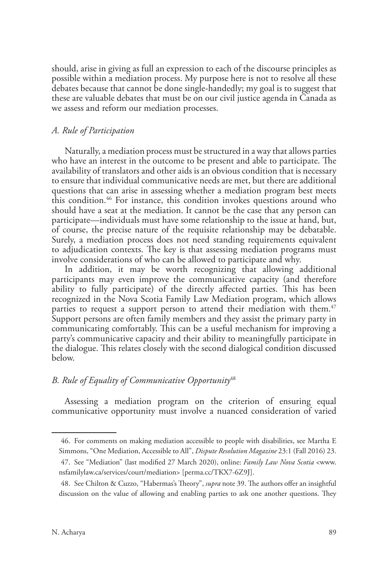should, arise in giving as full an expression to each of the discourse principles as possible within a mediation process. My purpose here is not to resolve all these debates because that cannot be done single-handedly; my goal is to suggest that these are valuable debates that must be on our civil justice agenda in Canada as we assess and reform our mediation processes.

### *A. Rule of Participation*

Naturally, a mediation process must be structured in a way that allows parties who have an interest in the outcome to be present and able to participate. The availability of translators and other aids is an obvious condition that is necessary to ensure that individual communicative needs are met, but there are additional questions that can arise in assessing whether a mediation program best meets this condition.46 For instance, this condition invokes questions around who should have a seat at the mediation. It cannot be the case that any person can participate—individuals must have some relationship to the issue at hand, but, of course, the precise nature of the requisite relationship may be debatable. Surely, a mediation process does not need standing requirements equivalent to adjudication contexts. The key is that assessing mediation programs must involve considerations of who can be allowed to participate and why.

In addition, it may be worth recognizing that allowing additional participants may even improve the communicative capacity (and therefore ability to fully participate) of the directly affected parties. This has been recognized in the Nova Scotia Family Law Mediation program, which allows parties to request a support person to attend their mediation with them.<sup> $47$ </sup> Support persons are often family members and they assist the primary party in communicating comfortably. This can be a useful mechanism for improving a party's communicative capacity and their ability to meaningfully participate in the dialogue. This relates closely with the second dialogical condition discussed below.

### *B. Rule of Equality of Communicative Opportunity*<sup>48</sup>

Assessing a mediation program on the criterion of ensuring equal communicative opportunity must involve a nuanced consideration of varied

<sup>46.</sup> For comments on making mediation accessible to people with disabilities, see Martha E Simmons, "One Mediation, Accessible to All", *Dispute Resolution Magazine* 23:1 (Fall 2016) 23.

<sup>47.</sup> See "Mediation" (last modified 27 March 2020), online: *Family Law Nova Scotia* <www. nsfamilylaw.ca/services/court/mediation> [perma.cc/TKX7-6Z9J].

<sup>48.</sup> See Chilton & Cuzzo, "Habermas's Theory", *supra* note 39. The authors offer an insightful discussion on the value of allowing and enabling parties to ask one another questions. They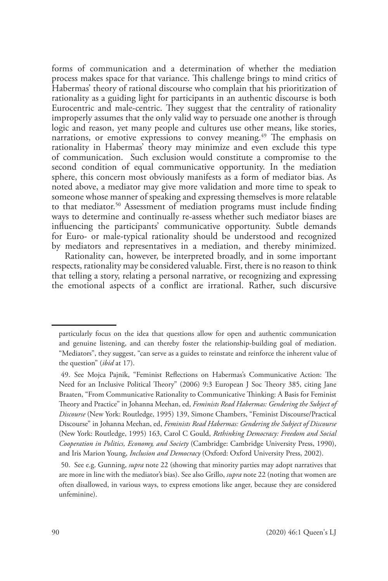forms of communication and a determination of whether the mediation process makes space for that variance. This challenge brings to mind critics of Habermas' theory of rational discourse who complain that his prioritization of rationality as a guiding light for participants in an authentic discourse is both Eurocentric and male-centric. They suggest that the centrality of rationality improperly assumes that the only valid way to persuade one another is through logic and reason, yet many people and cultures use other means, like stories, narrations, or emotive expressions to convey meaning.<sup>49</sup> The emphasis on rationality in Habermas' theory may minimize and even exclude this type of communication. Such exclusion would constitute a compromise to the second condition of equal communicative opportunity. In the mediation sphere, this concern most obviously manifests as a form of mediator bias. As noted above, a mediator may give more validation and more time to speak to someone whose manner of speaking and expressing themselves is more relatable to that mediator.50 Assessment of mediation programs must include finding ways to determine and continually re-assess whether such mediator biases are influencing the participants' communicative opportunity. Subtle demands for Euro- or male-typical rationality should be understood and recognized by mediators and representatives in a mediation, and thereby minimized.

Rationality can, however, be interpreted broadly, and in some important respects, rationality may be considered valuable. First, there is no reason to think that telling a story, relating a personal narrative, or recognizing and expressing the emotional aspects of a conflict are irrational. Rather, such discursive

particularly focus on the idea that questions allow for open and authentic communication and genuine listening, and can thereby foster the relationship-building goal of mediation. "Mediators", they suggest, "can serve as a guides to reinstate and reinforce the inherent value of the question" (*ibid* at 17).

<sup>49.</sup> See Mojca Pajnik, "Feminist Reflections on Habermas's Communicative Action: The Need for an Inclusive Political Theory" (2006) 9:3 European J Soc Theory 385, citing Jane Braaten, "From Communicative Rationality to Communicative Thinking: A Basis for Feminist Theory and Practice" in Johanna Meehan, ed, *Feminists Read Habermas: Gendering the Subject of Discourse* (New York: Routledge, 1995) 139, Simone Chambers, "Feminist Discourse/Practical Discourse" in Johanna Meehan, ed, *Feminists Read Habermas: Gendering the Subject of Discourse* (New York: Routledge, 1995) 163, Carol C Gould, *Rethinking Democracy: Freedom and Social Cooperation in Politics, Economy, and Society* (Cambridge: Cambridge University Press, 1990), and Iris Marion Young, *Inclusion and Democracy* (Oxford: Oxford University Press, 2002).

<sup>50.</sup> See e.g. Gunning, *supra* note 22 (showing that minority parties may adopt narratives that are more in line with the mediator's bias). See also Grillo, *supra* note 22 (noting that women are often disallowed, in various ways, to express emotions like anger, because they are considered unfeminine).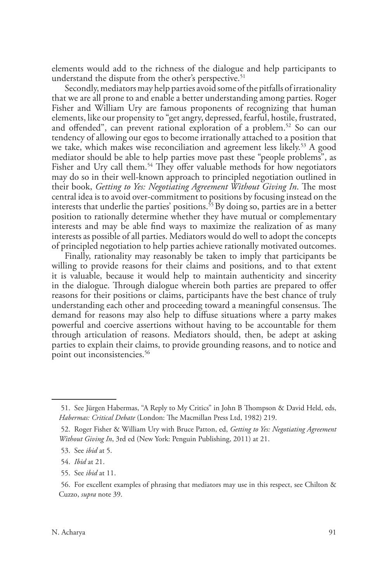elements would add to the richness of the dialogue and help participants to understand the dispute from the other's perspective.<sup>51</sup>

Secondly, mediators may help parties avoid some of the pitfalls of irrationality that we are all prone to and enable a better understanding among parties. Roger Fisher and William Ury are famous proponents of recognizing that human elements, like our propensity to "get angry, depressed, fearful, hostile, frustrated, and offended", can prevent rational exploration of a problem.<sup>52</sup> So can our tendency of allowing our egos to become irrationally attached to a position that we take, which makes wise reconciliation and agreement less likely.<sup>53</sup> A good mediator should be able to help parties move past these "people problems", as Fisher and Ury call them.<sup>54</sup> They offer valuable methods for how negotiators may do so in their well-known approach to principled negotiation outlined in their book, *Getting to Yes: Negotiating Agreement Without Giving In*. The most central idea is to avoid over-commitment to positions by focusing instead on the interests that underlie the parties' positions.<sup>55</sup> By doing so, parties are in a better position to rationally determine whether they have mutual or complementary interests and may be able find ways to maximize the realization of as many interests as possible of all parties. Mediators would do well to adopt the concepts of principled negotiation to help parties achieve rationally motivated outcomes.

Finally, rationality may reasonably be taken to imply that participants be willing to provide reasons for their claims and positions, and to that extent it is valuable, because it would help to maintain authenticity and sincerity in the dialogue. Through dialogue wherein both parties are prepared to offer reasons for their positions or claims, participants have the best chance of truly understanding each other and proceeding toward a meaningful consensus. The demand for reasons may also help to diffuse situations where a party makes powerful and coercive assertions without having to be accountable for them through articulation of reasons. Mediators should, then, be adept at asking parties to explain their claims, to provide grounding reasons, and to notice and point out inconsistencies.<sup>56</sup>

<sup>51.</sup> See Jürgen Habermas, "A Reply to My Critics" in John B Thompson & David Held, eds, *Habermas: Critical Debate* (London: The Macmillan Press Ltd, 1982) 219.

<sup>52.</sup> Roger Fisher & William Ury with Bruce Patton, ed, *Getting to Yes: Negotiating Agreement Without Giving In*, 3rd ed (New York: Penguin Publishing, 2011) at 21.

<sup>53.</sup> See *ibid* at 5.

<sup>54.</sup> *Ibid* at 21.

<sup>55.</sup> See *ibid* at 11.

<sup>56.</sup> For excellent examples of phrasing that mediators may use in this respect, see Chilton & Cuzzo, *supra* note 39.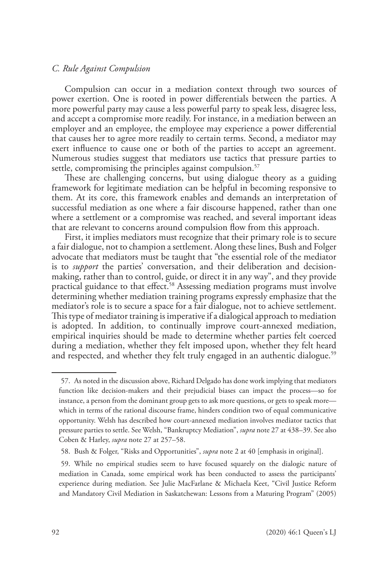#### *C. Rule Against Compulsion*

Compulsion can occur in a mediation context through two sources of power exertion. One is rooted in power differentials between the parties. A more powerful party may cause a less powerful party to speak less, disagree less, and accept a compromise more readily. For instance, in a mediation between an employer and an employee, the employee may experience a power differential that causes her to agree more readily to certain terms. Second, a mediator may exert influence to cause one or both of the parties to accept an agreement. Numerous studies suggest that mediators use tactics that pressure parties to settle, compromising the principles against compulsion.<sup>57</sup>

These are challenging concerns, but using dialogue theory as a guiding framework for legitimate mediation can be helpful in becoming responsive to them. At its core, this framework enables and demands an interpretation of successful mediation as one where a fair discourse happened, rather than one where a settlement or a compromise was reached, and several important ideas that are relevant to concerns around compulsion flow from this approach.

First, it implies mediators must recognize that their primary role is to secure a fair dialogue, not to champion a settlement. Along these lines, Bush and Folger advocate that mediators must be taught that "the essential role of the mediator is to *support* the parties' conversation, and their deliberation and decisionmaking, rather than to control, guide, or direct it in any way", and they provide practical guidance to that effect.58 Assessing mediation programs must involve determining whether mediation training programs expressly emphasize that the mediator's role is to secure a space for a fair dialogue, not to achieve settlement. This type of mediator training is imperative if a dialogical approach to mediation is adopted. In addition, to continually improve court-annexed mediation, empirical inquiries should be made to determine whether parties felt coerced during a mediation, whether they felt imposed upon, whether they felt heard and respected, and whether they felt truly engaged in an authentic dialogue.<sup>59</sup>

<sup>57.</sup> As noted in the discussion above, Richard Delgado has done work implying that mediators function like decision-makers and their prejudicial biases can impact the process—so for instance, a person from the dominant group gets to ask more questions, or gets to speak more which in terms of the rational discourse frame, hinders condition two of equal communicative opportunity. Welsh has described how court-annexed mediation involves mediator tactics that pressure parties to settle. See Welsh, "Bankruptcy Mediation", *supra* note 27 at 438–39. See also Coben & Harley, *supra* note 27 at 257–58.

<sup>58.</sup> Bush & Folger, "Risks and Opportunities", *supra* note 2 at 40 [emphasis in original].

<sup>59.</sup> While no empirical studies seem to have focused squarely on the dialogic nature of mediation in Canada, some empirical work has been conducted to assess the participants' experience during mediation. See Julie MacFarlane & Michaela Keet, "Civil Justice Reform and Mandatory Civil Mediation in Saskatchewan: Lessons from a Maturing Program" (2005)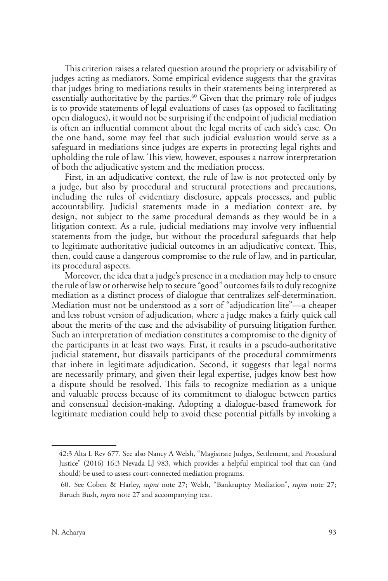This criterion raises a related question around the propriety or advisability of judges acting as mediators. Some empirical evidence suggests that the gravitas that judges bring to mediations results in their statements being interpreted as essentially authoritative by the parties.<sup>60</sup> Given that the primary role of judges is to provide statements of legal evaluations of cases (as opposed to facilitating open dialogues), it would not be surprising if the endpoint of judicial mediation is often an influential comment about the legal merits of each side's case. On the one hand, some may feel that such judicial evaluation would serve as a safeguard in mediations since judges are experts in protecting legal rights and upholding the rule of law. This view, however, espouses a narrow interpretation of both the adjudicative system and the mediation process.

First, in an adjudicative context, the rule of law is not protected only by a judge, but also by procedural and structural protections and precautions, including the rules of evidentiary disclosure, appeals processes, and public accountability. Judicial statements made in a mediation context are, by design, not subject to the same procedural demands as they would be in a litigation context. As a rule, judicial mediations may involve very influential statements from the judge, but without the procedural safeguards that help to legitimate authoritative judicial outcomes in an adjudicative context. This, then, could cause a dangerous compromise to the rule of law, and in particular, its procedural aspects.

Moreover, the idea that a judge's presence in a mediation may help to ensure the rule of law or otherwise help to secure "good" outcomes fails to duly recognize mediation as a distinct process of dialogue that centralizes self-determination. Mediation must not be understood as a sort of "adjudication lite"—a cheaper and less robust version of adjudication, where a judge makes a fairly quick call about the merits of the case and the advisability of pursuing litigation further. Such an interpretation of mediation constitutes a compromise to the dignity of the participants in at least two ways. First, it results in a pseudo-authoritative judicial statement, but disavails participants of the procedural commitments that inhere in legitimate adjudication. Second, it suggests that legal norms are necessarily primary, and given their legal expertise, judges know best how a dispute should be resolved. This fails to recognize mediation as a unique and valuable process because of its commitment to dialogue between parties and consensual decision-making. Adopting a dialogue-based framework for legitimate mediation could help to avoid these potential pitfalls by invoking a

<sup>42:3</sup> Alta L Rev 677. See also Nancy A Welsh, "Magistrate Judges, Settlement, and Procedural Justice" (2016) 16:3 Nevada LJ 983, which provides a helpful empirical tool that can (and should) be used to assess court-connected mediation programs.

<sup>60.</sup> See Coben & Harley, *supra* note 27; Welsh, "Bankruptcy Mediation", *supra* note 27; Baruch Bush, *supra* note 27 and accompanying text.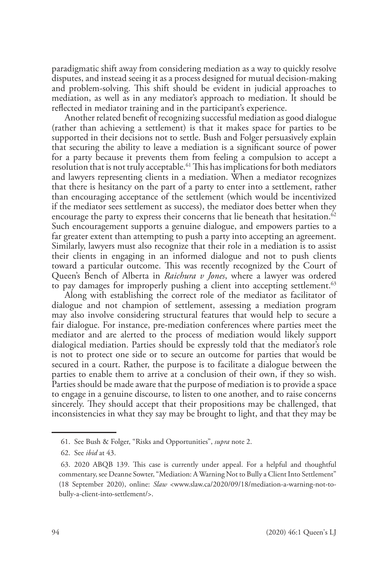paradigmatic shift away from considering mediation as a way to quickly resolve disputes, and instead seeing it as a process designed for mutual decision-making and problem-solving. This shift should be evident in judicial approaches to mediation, as well as in any mediator's approach to mediation. It should be reflected in mediator training and in the participant's experience.

Another related benefit of recognizing successful mediation as good dialogue (rather than achieving a settlement) is that it makes space for parties to be supported in their decisions not to settle. Bush and Folger persuasively explain that securing the ability to leave a mediation is a significant source of power for a party because it prevents them from feeling a compulsion to accept a resolution that is not truly acceptable.<sup>61</sup> This has implications for both mediators and lawyers representing clients in a mediation. When a mediator recognizes that there is hesitancy on the part of a party to enter into a settlement, rather than encouraging acceptance of the settlement (which would be incentivized if the mediator sees settlement as success), the mediator does better when they encourage the party to express their concerns that lie beneath that hesitation.<sup>62</sup> Such encouragement supports a genuine dialogue, and empowers parties to a far greater extent than attempting to push a party into accepting an agreement. Similarly, lawyers must also recognize that their role in a mediation is to assist their clients in engaging in an informed dialogue and not to push clients toward a particular outcome. This was recently recognized by the Court of Queen's Bench of Alberta in *Raichura v Jones*, where a lawyer was ordered to pay damages for improperly pushing a client into accepting settlement.<sup>63</sup>

Along with establishing the correct role of the mediator as facilitator of dialogue and not champion of settlement, assessing a mediation program may also involve considering structural features that would help to secure a fair dialogue. For instance, pre-mediation conferences where parties meet the mediator and are alerted to the process of mediation would likely support dialogical mediation. Parties should be expressly told that the mediator's role is not to protect one side or to secure an outcome for parties that would be secured in a court. Rather, the purpose is to facilitate a dialogue between the parties to enable them to arrive at a conclusion of their own, if they so wish. Parties should be made aware that the purpose of mediation is to provide a space to engage in a genuine discourse, to listen to one another, and to raise concerns sincerely. They should accept that their propositions may be challenged, that inconsistencies in what they say may be brought to light, and that they may be

<sup>61.</sup> See Bush & Folger, "Risks and Opportunities", *supra* note 2.

<sup>62.</sup> See *ibid* at 43.

<sup>63. 2020</sup> ABQB 139. This case is currently under appeal. For a helpful and thoughtful commentary, see Deanne Sowter, "Mediation: A Warning Not to Bully a Client Into Settlement" (18 September 2020), online: *Slaw* <www.slaw.ca/2020/09/18/mediation-a-warning-not-tobully-a-client-into-settlement/>.